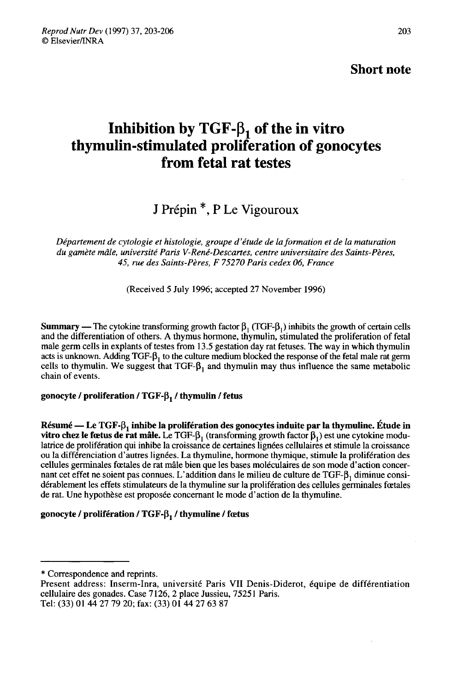Short note

# Inhibition by TGF- $β_1$  of the in vitro<br>thymulin-stimulated proliferation of gonocytes from fetal rat testes

## J Prépin<sup>\*</sup>, P Le Vigouroux

Département de cytologie et histologie, groupe d'étude de la formation et de la maturation du gamète mâle, université Paris V-René-Descartes, centre universitaire des Saints-Pères, 45, rue des Saints-Pères, F 75270 Paris cedex 06, France

(Received 5 July 1996; accepted 27 November 1996)

Summary — The cytokine transforming growth factor  $\beta_1$  (TGF- $\beta_1$ ) inhibits the growth of certain cells and the differentiation of others. A thymus hormone, thymulin, stimulated the proliferation of fetal male germ cells in explants of testes from 13.5 gestation day rat fetuses. The way in which thymulin acts is unknown. Adding TGF- $\beta_1$  to the culture medium blocked the response of the fetal male rat germ **Summary** — I ne cytokine transforming growth factor  $p_1$  (1GF- $p_1$ ) inhibits the growth of certain cells and the differentiation of others. A thymus hormone, thymulin, stimulated the proliferation of fetal male germ ce and the differentiation of others. A thymus hormone, thymulin, stimulated the proliferation of fetal<br>male germ cells in explants of testes from 13.5 gestation day rat fetuses. The way in which thymulin<br>acts is unknown. Ad chain of events. cells to thymulin. We suggest that TGF-β<sub>1</sub> and thym<br>chain of events.<br>gonocyte / proliferation / TGF-β<sub>1</sub> / thymulin / fetus

Résumé — Le TGF- $\beta_1$  inhibe la prolifération des gonocytes induite par la thymuline. Étude in vitro chez le fœtus de rat mâle. Le TGF- $\beta$ , (transforming growth factor  $\beta$ ,) est une cytokine modulatrice de prolifération qui inhibe la croissance de certaines lignées cellulaires et stimule la croissance ou la différenciation d'autres lignées. La thymuline, hormone thymique, stimule la prolifération des cellules germinales foetales de rat mâle bien que les bases moléculaires de son mode d'action concernant cet effet ne soient pas connues. L'addition dans le milieu de culture de TGF-B, diminue considérablement les effets stimulateurs de la thymuline sur la prolifération des cellules germinales foetales de rat. Une hypothèse est proposée concernant le mode d'action de la thymuline.

### gonocyte / prolifération / TGF- $\beta$ , / thymuline / fœtus

<sup>\*</sup> Correspondence and reprints.

Present address: Inserm-Inra, université Paris VII Denis-Diderot, 6quipe de differentiation cellulaire des gonades. Case 7126, 2 place Jussieu, 75251 Paris. Tel: (33) 01 44 27 79 20; fax: (33) O1 44 27 63 87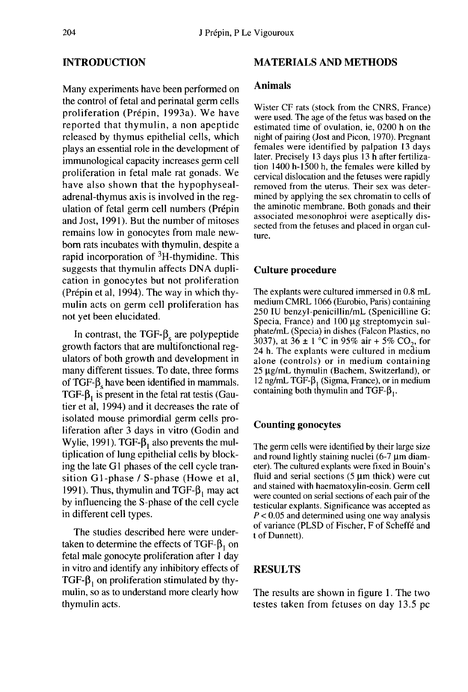#### INTRODUCTION

Many experiments have been performed on the control of fetal and perinatal germ cells proliferation (Prépin, 1993a). We have reported that thymulin, a non apeptide released by thymus epithelial cells, which plays an essential role in the development of immunological capacity increases germ cell proliferation in fetal male rat gonads. We have also shown that the hypophysealadrenal-thymus axis is involved in the regulation of fetal germ cell numbers (Prépin and Jost, 1991). But the number of mitoses remains low in gonocytes from male newborn rats incubates with thymulin, despite a rapid incorporation of  ${}^{3}H$ -thymidine. This suggests that thymulin affects DNA duplication in gonocytes but not proliferation (Prépin et al, 1994). The way in which thymulin acts on germ cell proliferation has not yet been elucidated.

In contrast, the TGF- $\beta_s$  are polypeptide growth factors that are multifonctional regulators of both growth and development in many different tissues. To date, three forms of TGF- $\beta_s$  have been identified in mammals. TGF- $\beta_1$  is present in the fetal rat testis (Gautier et al, 1994) and it decreases the rate of isolated mouse primordial germ cells proliferation after 3 days in vitro (Godin and Wylie, 1991). TGF- $\beta_1$  also prevents the multiplication of lung epithelial cells by blocking the late G1 phases of the cell cycle transition G1-phase / S-phase (Howe et al, 1991). Thus, thymulin and TGF- $\beta_1$  may act by influencing the S-phase of the cell cycle in different cell types.

The studies described here were undertaken to determine the effects of TGF- $\beta_1$  on fetal male gonocyte proliferation after 1 day in vitro and identify any inhibitory effects of TGF- $\beta_1$  on proliferation stimulated by thymulin, so as to understand more clearly how thymulin acts.

#### MATERIALS AND METHODS

#### Animals

Wister CF rats (stock from the CNRS, France) were used. The age of the fetus was based on the estimated time of ovulation, ie, 0200 h on the night of pairing (Jost and Picon, 1970). Pregnant females were identified by palpation 13 days later. Precisely 13 days plus 13 h after fertilization 1400 h-1500 h, the females were killed by cervical dislocation and the fetuses were rapidly removed from the uterus. Their sex was determined by applying the sex chromatin to cells of the aminotic membrane. Both gonads and their associated mesonophroi were aseptically dissected from the fetuses and placed in organ culture.

#### Culture procedure

The explants were cultured immersed in 0.8 mL medium CMRL 1066 (Eurobio, Paris) containing 250 IU benzyl-penicillin/mL (Spenicilline G: Specia, France) and  $100 \mu$ g streptomycin sulphate/mL (Specia) in dishes (Falcon Plastics, no 3037), at  $36 \pm 1$  °C in 95% air + 5% CO<sub>2</sub>, for 24 h. The explants were cultured in medium alone (controls) or in medium containing  $25 \mu$ g/mL thymulin (Bachem, Switzerland), or 12 ng/mL TGF- $\beta_1$  (Sigma, France), or in medium containing both thymulin and TGF- $\beta_1$ .

#### Counting gonocytes

The germ cells were identified by their large size and round lightly staining nuclei  $(6-7 \mu m)$  diameter). The cultured explants were fixed in Bouin's fluid and serial sections  $(5 \mu m)$  thick) were cut and stained with haematoxylin-eosin. Germ cell were counted on serial sections of each pair of the testicular explants. Significance was accepted as  $P < 0.05$  and determined using one way analysis of variance (PLSD of Fischer, F of Scheffé and t of Dunnett).

#### RESULTS

The results are shown in figure 1. The two testes taken from fetuses on day 13.5 pc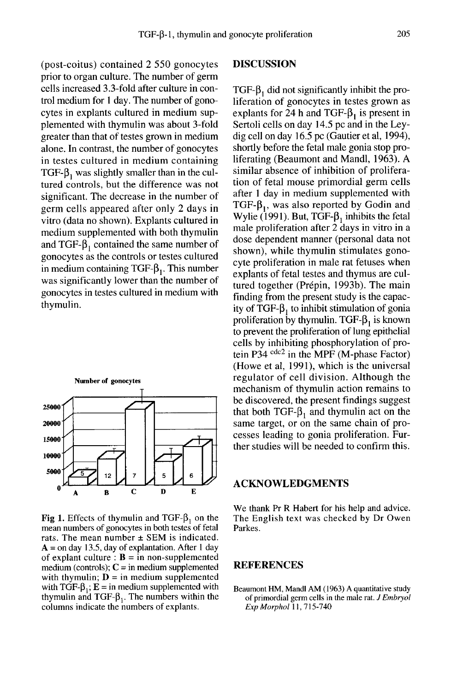(post-coitus) contained 2 550 gonocytes prior to organ culture. The number of germ cells increased 3.3-fold after culture in control medium for 1 day. The number of gonocytes in explants cultured in medium supplemented with thymulin was about 3-fold greater than that of testes grown in medium alone. In contrast, the number of gonocytes in testes cultured in medium containing TGF- $\beta$ , was slightly smaller than in the cultured controls, but the difference was not significant. The decrease in the number of germ cells appeared after only 2 days in vitro (data no shown). Explants cultured in medium supplemented with both thymulin and TGF- $\beta_1$  contained the same number of gonocytes as the controls or testes cultured in medium containing TGF- $\beta_1$ . This number was significantly lower than the number of gonocytes in testes cultured in medium with thymulin.



**Fig 1.** Effects of thymulin and TGF- $\beta_1$  on the mean numbers of gonocytes in both testes of fetal rats. The mean number  $\pm$  SEM is indicated.  $A =$  on day 13.5, day of explantation. After 1 day of explant culture :  $\mathbf{B} = \text{in non-supplemented}$ medium (controls);  $C = in$  medium supplemented with thymulin;  $D =$  in medium supplemented with TGF- $\beta_1$ ;  $E = in$  medium supplemented with thymulin and TGF- $\beta_1$ . The numbers within the columns indicate the numbers of explants.

#### DISCUSSION

 $TGF-\beta_1$  did not significantly inhibit the proliferation of gonocytes in testes grown as explants for 24 h and TGF- $\beta_1$  is present in Sertoli cells on day 14.5 pc and in the Leydig cell on day 16.5 pc (Gautier et al, 1994), shortly before the fetal male gonia stop proliferating (Beaumont and Mandl, 1963). A similar absence of inhibition of proliferation of fetal mouse primordial germ cells after 1 day in medium supplemented with TGF- $\beta_1$ , was also reported by Godin and Wylie (1991). But, TGF- $\beta_1$  inhibits the fetal male proliferation after 2 days in vitro in a dose dependent manner (personal data not shown), while thymulin stimulates gonocyte proliferation in male rat fetuses when explants of fetal testes and thymus are cultured together (Prépin, 1993b). The main finding from the present study is the capacity of TGF- $\beta_1$  to inhibit stimulation of gonia proliferation by thymulin. TGF- $\beta_1$  is known to prevent the proliferation of lung epithelial cells by inhibiting phosphorylation of protein P34  $\text{cdc2}$  in the MPF (M-phase Factor) (Howe et al, 1991), which is the universal regulator of cell division. Although the mechanism of thymulin action remains to be discovered, the present findings suggest that both TGF- $\beta_1$  and thymulin act on the same target, or on the same chain of processes leading to gonia proliferation. Further studies will be needed to confirm this.

#### ACKNOWLEDGMENTS

We thank Pr R Habert for his help and advice. The English text was checked by Dr Owen Parkes.

#### REFERENCES

Beaumont HM, Mandl AM (1963) A quantitative study of primordial germ cells in the male rat. J Embryol Exp Morphol 11, 715-740